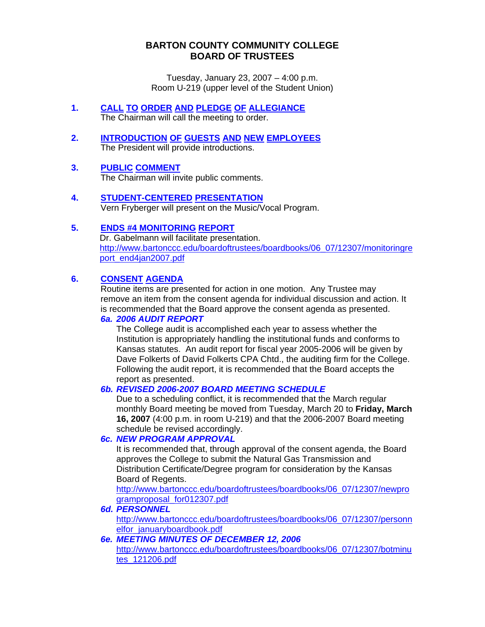## **BARTON COUNTY COMMUNITY COLLEGE BOARD OF TRUSTEES**

Tuesday, January 23, 2007 – 4:00 p.m. Room U-219 (upper level of the Student Union)

- **1. CALL TO ORDER AND PLEDGE OF ALLEGIANCE** The Chairman will call the meeting to order.
- **2. INTRODUCTION OF GUESTS AND NEW EMPLOYEES** The President will provide introductions.

### **3. PUBLIC COMMENT**

The Chairman will invite public comments.

#### **4. STUDENT-CENTERED PRESENTATION** Vern Fryberger will present on the Music/Vocal Program.

### **5. ENDS #4 MONITORING REPORT**

Dr. Gabelmann will facilitate presentation. [http://www.bartonccc.edu/boardoftrustees/boardbooks/06\\_07/12307/monitoringre](http://www.bartonccc.edu/boardoftrustees/boardbooks/06_07/12307/monitoringreport_end4jan2007.pdf) [port\\_end4jan2007.pdf](http://www.bartonccc.edu/boardoftrustees/boardbooks/06_07/12307/monitoringreport_end4jan2007.pdf)

# **6. CONSENT AGENDA**

Routine items are presented for action in one motion. Any Trustee may remove an item from the consent agenda for individual discussion and action. It is recommended that the Board approve the consent agenda as presented.

### *6a. 2006 AUDIT REPORT*

 The College audit is accomplished each year to assess whether the Institution is appropriately handling the institutional funds and conforms to Kansas statutes. An audit report for fiscal year 2005-2006 will be given by Dave Folkerts of David Folkerts CPA Chtd., the auditing firm for the College. Following the audit report, it is recommended that the Board accepts the report as presented.

### *6b. REVISED 2006-2007 BOARD MEETING SCHEDULE*

Due to a scheduling conflict, it is recommended that the March regular monthly Board meeting be moved from Tuesday, March 20 to **Friday, March 16, 2007** (4:00 p.m. in room U-219) and that the 2006-2007 Board meeting schedule be revised accordingly.

### *6c. NEW PROGRAM APPROVAL*

It is recommended that, through approval of the consent agenda, the Board approves the College to submit the Natural Gas Transmission and Distribution Certificate/Degree program for consideration by the Kansas Board of Regents.

[http://www.bartonccc.edu/boardoftrustees/boardbooks/06\\_07/12307/newpro](http://www.bartonccc.edu/boardoftrustees/boardbooks/06_07/12307/newprogramproposal_for012307.pdf) [gramproposal\\_for012307.pdf](http://www.bartonccc.edu/boardoftrustees/boardbooks/06_07/12307/newprogramproposal_for012307.pdf)

#### *6d. PERSONNEL*

[http://www.bartonccc.edu/boardoftrustees/boardbooks/06\\_07/12307/personn](http://www.bartonccc.edu/boardoftrustees/boardbooks/06_07/12307/personnelfor_januaryboardbook.pdf) [elfor\\_januaryboardbook.pdf](http://www.bartonccc.edu/boardoftrustees/boardbooks/06_07/12307/personnelfor_januaryboardbook.pdf)

*6e. MEETING MINUTES OF DECEMBER 12, 2006* [http://www.bartonccc.edu/boardoftrustees/boardbooks/06\\_07/12307/botminu](http://www.bartonccc.edu/boardoftrustees/boardbooks/06_07/12307/botminutes_121206.pdf) [tes\\_121206.pdf](http://www.bartonccc.edu/boardoftrustees/boardbooks/06_07/12307/botminutes_121206.pdf)